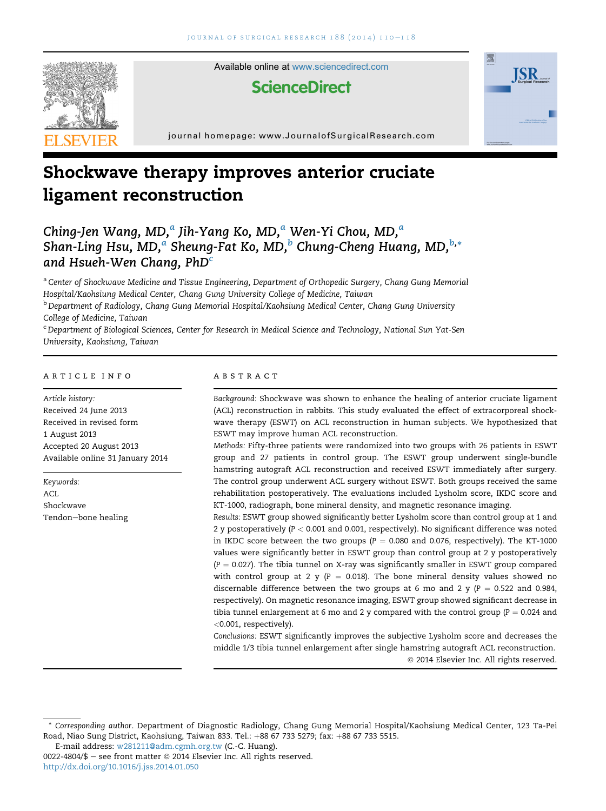

Available online at [www.sciencedirect.com](www.sciencedirect.com/science/journal/00224804)

# **ScienceDirect**



# Shockwave therapy improves anterior cruciate ligament reconstruction

Ching-Jen Wang, MD,<sup>a</sup> Jih-Yang Ko, MD,<sup>a</sup> Wen-Yi Chou, MD,<sup>a</sup> Shan-Ling Hsu, MD, $^a$  Sheung-Fat Ko, MD, $^b$  Chung-Cheng Huang, MD, $^{\rm b, *}$ and Hsueh-Wen Chang,  $PhD<sup>c</sup>$ 

a Center of Shockwave Medicine and Tissue Engineering, Department of Orthopedic Surgery, Chang Gung Memorial Hospital/Kaohsiung Medical Center, Chang Gung University College of Medicine, Taiwan <sup>b</sup> Department of Radiology, Chang Gung Memorial Hospital/Kaohsiung Medical Center, Chang Gung University

College of Medicine, Taiwan

<sup>c</sup> Department of Biological Sciences, Center for Research in Medical Science and Technology, National Sun Yat-Sen University, Kaohsiung, Taiwan

#### article info

Article history: Received 24 June 2013 Received in revised form 1 August 2013 Accepted 20 August 2013 Available online 31 January 2014

Keywords: ACL. Shockwave Tendon-bone healing

#### **ABSTRACT**

Background: Shockwave was shown to enhance the healing of anterior cruciate ligament (ACL) reconstruction in rabbits. This study evaluated the effect of extracorporeal shockwave therapy (ESWT) on ACL reconstruction in human subjects. We hypothesized that ESWT may improve human ACL reconstruction.

**ISR** 

Methods: Fifty-three patients were randomized into two groups with 26 patients in ESWT group and 27 patients in control group. The ESWT group underwent single-bundle hamstring autograft ACL reconstruction and received ESWT immediately after surgery. The control group underwent ACL surgery without ESWT. Both groups received the same rehabilitation postoperatively. The evaluations included Lysholm score, IKDC score and KT-1000, radiograph, bone mineral density, and magnetic resonance imaging.

Results: ESWT group showed significantly better Lysholm score than control group at 1 and 2 y postoperatively ( $P < 0.001$  and 0.001, respectively). No significant difference was noted in IKDC score between the two groups ( $P = 0.080$  and 0.076, respectively). The KT-1000 values were significantly better in ESWT group than control group at 2 y postoperatively  $(P = 0.027)$ . The tibia tunnel on X-ray was significantly smaller in ESWT group compared with control group at 2 y ( $P = 0.018$ ). The bone mineral density values showed no discernable difference between the two groups at 6 mo and 2 y ( $P = 0.522$  and 0.984, respectively). On magnetic resonance imaging, ESWT group showed significant decrease in tibia tunnel enlargement at 6 mo and 2 y compared with the control group ( $P = 0.024$  and <0.001, respectively).

Conclusions: ESWT significantly improves the subjective Lysholm score and decreases the middle 1/3 tibia tunnel enlargement after single hamstring autograft ACL reconstruction.  $©$  2014 Elsevier Inc. All rights reserved.

<sup>\*</sup> Corresponding author. Department of Diagnostic Radiology, Chang Gung Memorial Hospital/Kaohsiung Medical Center, 123 Ta-Pei Road, Niao Sung District, Kaohsiung, Taiwan 833. Tel.: +88 67 733 5279; fax: +88 67 733 5515.

E-mail address: [w281211@adm.cgmh.org.tw](mailto:w281211@adm.cgmh.org.tw) (C.-C. Huang).

 $0022-4804/\$$  – see front matter  $\degree$  2014 Elsevier Inc. All rights reserved. <http://dx.doi.org/10.1016/j.jss.2014.01.050>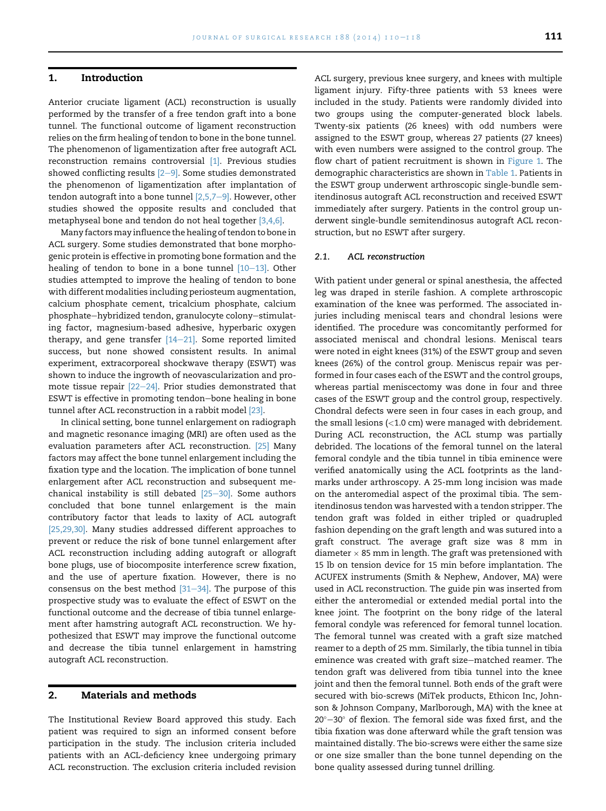### 1. Introduction

Anterior cruciate ligament (ACL) reconstruction is usually performed by the transfer of a free tendon graft into a bone tunnel. The functional outcome of ligament reconstruction relies on the firm healing of tendon to bone in the bone tunnel. The phenomenon of ligamentization after free autograft ACL reconstruction remains controversial [\[1\]](#page-7-0). Previous studies showed conflicting results  $[2-9]$  $[2-9]$ . Some studies demonstrated the phenomenon of ligamentization after implantation of tendon autograft into a bone tunnel  $[2,5,7-9]$  $[2,5,7-9]$ . However, other studies showed the opposite results and concluded that metaphyseal bone and tendon do not heal together [\[3,4,6\].](#page-7-0)

Many factorsmay influence the healing of tendon to bone in ACL surgery. Some studies demonstrated that bone morphogenic protein is effective in promoting bone formation and the healing of tendon to bone in a bone tunnel  $[10-13]$  $[10-13]$ . Other studies attempted to improve the healing of tendon to bone with different modalities including periosteum augmentation, calcium phosphate cement, tricalcium phosphate, calcium phosphate-hybridized tendon, granulocyte colony-stimulating factor, magnesium-based adhesive, hyperbaric oxygen therapy, and gene transfer  $[14-21]$  $[14-21]$ . Some reported limited success, but none showed consistent results. In animal experiment, extracorporeal shockwave therapy (ESWT) was shown to induce the ingrowth of neovascularization and promote tissue repair  $[22-24]$  $[22-24]$  $[22-24]$ . Prior studies demonstrated that ESWT is effective in promoting tendon-bone healing in bone tunnel after ACL reconstruction in a rabbit model [\[23\].](#page-8-0)

In clinical setting, bone tunnel enlargement on radiograph and magnetic resonance imaging (MRI) are often used as the evaluation parameters after ACL reconstruction. [\[25\]](#page-8-0) Many factors may affect the bone tunnel enlargement including the fixation type and the location. The implication of bone tunnel enlargement after ACL reconstruction and subsequent mechanical instability is still debated  $[25-30]$  $[25-30]$ . Some authors concluded that bone tunnel enlargement is the main contributory factor that leads to laxity of ACL autograft [\[25,29,30\].](#page-8-0) Many studies addressed different approaches to prevent or reduce the risk of bone tunnel enlargement after ACL reconstruction including adding autograft or allograft bone plugs, use of biocomposite interference screw fixation, and the use of aperture fixation. However, there is no consensus on the best method  $[31-34]$  $[31-34]$ . The purpose of this prospective study was to evaluate the effect of ESWT on the functional outcome and the decrease of tibia tunnel enlargement after hamstring autograft ACL reconstruction. We hypothesized that ESWT may improve the functional outcome and decrease the tibia tunnel enlargement in hamstring autograft ACL reconstruction.

# 2. Materials and methods

The Institutional Review Board approved this study. Each patient was required to sign an informed consent before participation in the study. The inclusion criteria included patients with an ACL-deficiency knee undergoing primary ACL reconstruction. The exclusion criteria included revision

ACL surgery, previous knee surgery, and knees with multiple ligament injury. Fifty-three patients with 53 knees were included in the study. Patients were randomly divided into two groups using the computer-generated block labels. Twenty-six patients (26 knees) with odd numbers were assigned to the ESWT group, whereas 27 patients (27 knees) with even numbers were assigned to the control group. The flow chart of patient recruitment is shown in [Figure 1](#page-2-0). The demographic characteristics are shown in [Table 1](#page-2-0). Patients in the ESWT group underwent arthroscopic single-bundle semitendinosus autograft ACL reconstruction and received ESWT immediately after surgery. Patients in the control group underwent single-bundle semitendinosus autograft ACL reconstruction, but no ESWT after surgery.

#### 2.1. ACL reconstruction

With patient under general or spinal anesthesia, the affected leg was draped in sterile fashion. A complete arthroscopic examination of the knee was performed. The associated injuries including meniscal tears and chondral lesions were identified. The procedure was concomitantly performed for associated meniscal and chondral lesions. Meniscal tears were noted in eight knees (31%) of the ESWT group and seven knees (26%) of the control group. Meniscus repair was performed in four cases each of the ESWT and the control groups, whereas partial meniscectomy was done in four and three cases of the ESWT group and the control group, respectively. Chondral defects were seen in four cases in each group, and the small lesions (<1.0 cm) were managed with debridement. During ACL reconstruction, the ACL stump was partially debrided. The locations of the femoral tunnel on the lateral femoral condyle and the tibia tunnel in tibia eminence were verified anatomically using the ACL footprints as the landmarks under arthroscopy. A 25-mm long incision was made on the anteromedial aspect of the proximal tibia. The semitendinosus tendon was harvested with a tendon stripper. The tendon graft was folded in either tripled or quadrupled fashion depending on the graft length and was sutured into a graft construct. The average graft size was 8 mm in  $\rm{diameter}\times{\rm 85\ mm}$  in length. The graft was pretensioned with 15 lb on tension device for 15 min before implantation. The ACUFEX instruments (Smith & Nephew, Andover, MA) were used in ACL reconstruction. The guide pin was inserted from either the anteromedial or extended medial portal into the knee joint. The footprint on the bony ridge of the lateral femoral condyle was referenced for femoral tunnel location. The femoral tunnel was created with a graft size matched reamer to a depth of 25 mm. Similarly, the tibia tunnel in tibia eminence was created with graft size-matched reamer. The tendon graft was delivered from tibia tunnel into the knee joint and then the femoral tunnel. Both ends of the graft were secured with bio-screws (MiTek products, Ethicon Inc, Johnson & Johnson Company, Marlborough, MA) with the knee at  $20^{\circ}-30^{\circ}$  of flexion. The femoral side was fixed first, and the tibia fixation was done afterward while the graft tension was maintained distally. The bio-screws were either the same size or one size smaller than the bone tunnel depending on the bone quality assessed during tunnel drilling.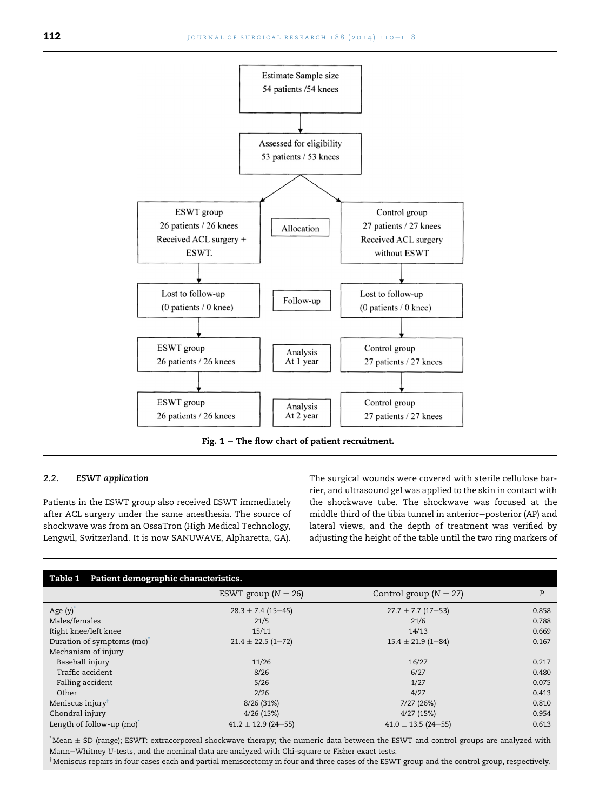<span id="page-2-0"></span>

Fig.  $1$  – The flow chart of patient recruitment.

#### 2.2. ESWT application

Patients in the ESWT group also received ESWT immediately after ACL surgery under the same anesthesia. The source of shockwave was from an OssaTron (High Medical Technology, Lengwil, Switzerland. It is now SANUWAVE, Alpharetta, GA).

The surgical wounds were covered with sterile cellulose barrier, and ultrasound gel was applied to the skin in contact with the shockwave tube. The shockwave was focused at the middle third of the tibia tunnel in anterior-posterior (AP) and lateral views, and the depth of treatment was verified by adjusting the height of the table until the two ring markers of

| Table $1$ – Patient demographic characteristics. |                         |                            |       |  |  |
|--------------------------------------------------|-------------------------|----------------------------|-------|--|--|
|                                                  | ESWT group ( $N = 26$ ) | Control group ( $N = 27$ ) | P     |  |  |
| Age $(y)$                                        | $28.3 \pm 7.4$ (15-45)  | $27.7 \pm 7.7$ (17-53)     | 0.858 |  |  |
| Males/females                                    | 21/5                    | 21/6                       | 0.788 |  |  |
| Right knee/left knee                             | 15/11                   | 14/13                      | 0.669 |  |  |
| Duration of symptoms (mo)                        | $21.4 \pm 22.5$ (1-72)  | $15.4 \pm 21.9$ (1-84)     | 0.167 |  |  |
| Mechanism of injury                              |                         |                            |       |  |  |
| Baseball injury                                  | 11/26                   | 16/27                      | 0.217 |  |  |
| Traffic accident                                 | 8/26                    | 6/27                       | 0.480 |  |  |
| Falling accident                                 | 5/26                    | 1/27                       | 0.075 |  |  |
| Other                                            | 2/26                    | 4/27                       | 0.413 |  |  |
| Meniscus injury                                  | 8/26(31%)               | 7/27 (26%)                 | 0.810 |  |  |
| Chondral injury                                  | 4/26(15%)               | 4/27(15%)                  | 0.954 |  |  |
| Length of follow-up (mo)                         | $41.2 \pm 12.9$ (24-55) | $41.0 \pm 13.5$ (24-55)    | 0.613 |  |  |

 $^*$ Mean  $\pm$  SD (range); ESWT: extracorporeal shockwave therapy; the numeric data between the ESWT and control groups are analyzed with Mann-Whitney U-tests, and the nominal data are analyzed with Chi-square or Fisher exact tests.

 $^\dagger$ Meniscus repairs in four cases each and partial meniscectomy in four and three cases of the ESWT group and the control group, respectively.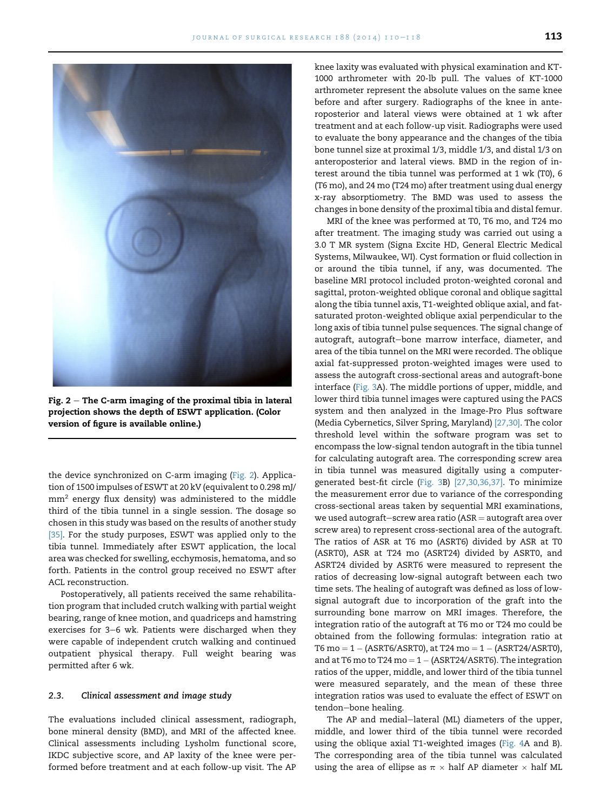

Fig.  $2-$  The C-arm imaging of the proximal tibia in lateral projection shows the depth of ESWT application. (Color version of figure is available online.)

the device synchronized on C-arm imaging (Fig. 2). Application of 1500 impulses of ESWT at 20 kV (equivalent to 0.298 mJ/  $mm<sup>2</sup>$  energy flux density) was administered to the middle third of the tibia tunnel in a single session. The dosage so chosen in this study was based on the results of another study [\[35\].](#page-8-0) For the study purposes, ESWT was applied only to the tibia tunnel. Immediately after ESWT application, the local area was checked for swelling, ecchymosis, hematoma, and so forth. Patients in the control group received no ESWT after ACL reconstruction.

Postoperatively, all patients received the same rehabilitation program that included crutch walking with partial weight bearing, range of knee motion, and quadriceps and hamstring exercises for 3-6 wk. Patients were discharged when they were capable of independent crutch walking and continued outpatient physical therapy. Full weight bearing was permitted after 6 wk.

#### 2.3. Clinical assessment and image study

The evaluations included clinical assessment, radiograph, bone mineral density (BMD), and MRI of the affected knee. Clinical assessments including Lysholm functional score, IKDC subjective score, and AP laxity of the knee were performed before treatment and at each follow-up visit. The AP knee laxity was evaluated with physical examination and KT-1000 arthrometer with 20-lb pull. The values of KT-1000 arthrometer represent the absolute values on the same knee before and after surgery. Radiographs of the knee in anteroposterior and lateral views were obtained at 1 wk after treatment and at each follow-up visit. Radiographs were used to evaluate the bony appearance and the changes of the tibia bone tunnel size at proximal 1/3, middle 1/3, and distal 1/3 on anteroposterior and lateral views. BMD in the region of interest around the tibia tunnel was performed at 1 wk (T0), 6 (T6 mo), and 24 mo (T24 mo) after treatment using dual energy x-ray absorptiometry. The BMD was used to assess the changes in bone density of the proximal tibia and distal femur.

MRI of the knee was performed at T0, T6 mo, and T24 mo after treatment. The imaging study was carried out using a 3.0 T MR system (Signa Excite HD, General Electric Medical Systems, Milwaukee, WI). Cyst formation or fluid collection in or around the tibia tunnel, if any, was documented. The baseline MRI protocol included proton-weighted coronal and sagittal, proton-weighted oblique coronal and oblique sagittal along the tibia tunnel axis, T1-weighted oblique axial, and fatsaturated proton-weighted oblique axial perpendicular to the long axis of tibia tunnel pulse sequences. The signal change of autograft, autograft-bone marrow interface, diameter, and area of the tibia tunnel on the MRI were recorded. The oblique axial fat-suppressed proton-weighted images were used to assess the autograft cross-sectional areas and autograft-bone interface [\(Fig. 3A](#page-4-0)). The middle portions of upper, middle, and lower third tibia tunnel images were captured using the PACS system and then analyzed in the Image-Pro Plus software (Media Cybernetics, Silver Spring, Maryland) [\[27,30\]](#page-8-0). The color threshold level within the software program was set to encompass the low-signal tendon autograft in the tibia tunnel for calculating autograft area. The corresponding screw area in tibia tunnel was measured digitally using a computergenerated best-fit circle [\(Fig. 3](#page-4-0)B) [\[27,30,36,37\]](#page-8-0). To minimize the measurement error due to variance of the corresponding cross-sectional areas taken by sequential MRI examinations, we used autograft-screw area ratio ( $ASR =$  autograft area over screw area) to represent cross-sectional area of the autograft. The ratios of ASR at T6 mo (ASRT6) divided by ASR at T0 (ASRT0), ASR at T24 mo (ASRT24) divided by ASRT0, and ASRT24 divided by ASRT6 were measured to represent the ratios of decreasing low-signal autograft between each two time sets. The healing of autograft was defined as loss of lowsignal autograft due to incorporation of the graft into the surrounding bone marrow on MRI images. Therefore, the integration ratio of the autograft at T6 mo or T24 mo could be obtained from the following formulas: integration ratio at T6 mo =  $1 - (ASRT6/ASRT0)$ , at T24 mo =  $1 - (ASRT24/ASRT0)$ , and at T6 mo to T24 mo  $= 1 - (ASRT24/ASRT6)$ . The integration ratios of the upper, middle, and lower third of the tibia tunnel were measured separately, and the mean of these three integration ratios was used to evaluate the effect of ESWT on tendon-bone healing.

The AP and medial-lateral (ML) diameters of the upper, middle, and lower third of the tibia tunnel were recorded using the oblique axial T1-weighted images ([Fig. 4A](#page-4-0) and B). The corresponding area of the tibia tunnel was calculated using the area of ellipse as  $\pi \times$  half AP diameter  $\times$  half ML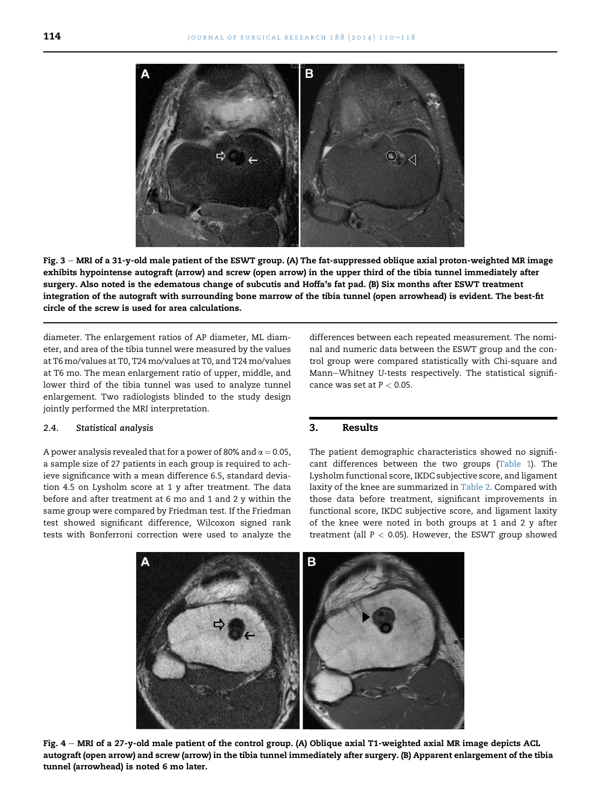<span id="page-4-0"></span>

Fig. 3 - MRI of a 31-y-old male patient of the ESWT group. (A) The fat-suppressed oblique axial proton-weighted MR image exhibits hypointense autograft (arrow) and screw (open arrow) in the upper third of the tibia tunnel immediately after surgery. Also noted is the edematous change of subcutis and Hoffa's fat pad. (B) Six months after ESWT treatment integration of the autograft with surrounding bone marrow of the tibia tunnel (open arrowhead) is evident. The best-fit circle of the screw is used for area calculations.

diameter. The enlargement ratios of AP diameter, ML diameter, and area of the tibia tunnel were measured by the values at T6 mo/values at T0, T24 mo/values at T0, and T24 mo/values at T6 mo. The mean enlargement ratio of upper, middle, and lower third of the tibia tunnel was used to analyze tunnel enlargement. Two radiologists blinded to the study design jointly performed the MRI interpretation.

#### 2.4. Statistical analysis

A power analysis revealed that for a power of 80% and  $\alpha = 0.05$ , a sample size of 27 patients in each group is required to achieve significance with a mean difference 6.5, standard deviation 4.5 on Lysholm score at 1 y after treatment. The data before and after treatment at 6 mo and 1 and 2 y within the same group were compared by Friedman test. If the Friedman test showed significant difference, Wilcoxon signed rank tests with Bonferroni correction were used to analyze the differences between each repeated measurement. The nominal and numeric data between the ESWT group and the control group were compared statistically with Chi-square and Mann-Whitney U-tests respectively. The statistical significance was set at  $P < 0.05$ .

# 3. Results

The patient demographic characteristics showed no significant differences between the two groups ([Table 1\)](#page-2-0). The Lysholm functional score, IKDC subjective score, and ligament laxity of the knee are summarized in [Table 2](#page-5-0). Compared with those data before treatment, significant improvements in functional score, IKDC subjective score, and ligament laxity of the knee were noted in both groups at 1 and 2 y after treatment (all  $P < 0.05$ ). However, the ESWT group showed



Fig. 4 - MRI of a 27-y-old male patient of the control group. (A) Oblique axial T1-weighted axial MR image depicts ACL autograft (open arrow) and screw (arrow) in the tibia tunnel immediately after surgery. (B) Apparent enlargement of the tibia tunnel (arrowhead) is noted 6 mo later.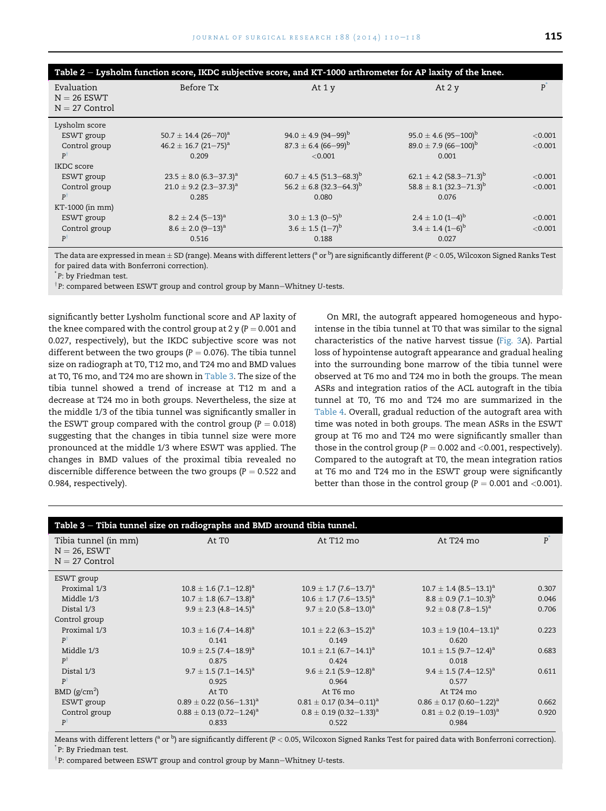<span id="page-5-0"></span>

| Table 2 – Lysholm function score, IKDC subjective score, and KT-1000 arthrometer for AP laxity of the knee. |                                        |                                     |                                         |         |  |
|-------------------------------------------------------------------------------------------------------------|----------------------------------------|-------------------------------------|-----------------------------------------|---------|--|
| Evaluation<br>$N = 26$ ESWT<br>$N = 27$ Control                                                             | Before Tx                              | At 1 y                              | At $2y$                                 | P       |  |
| Lysholm score                                                                                               |                                        |                                     |                                         |         |  |
| ESWT group                                                                                                  | 50.7 $\pm$ 14.4 (26-70) <sup>a</sup>   | 94.0 $\pm$ 4.9 (94–99) <sup>b</sup> | $95.0 \pm 4.6 (95 - 100)^{b}$           | < 0.001 |  |
| Control group                                                                                               | $46.2 \pm 16.7$ (21-75) <sup>a</sup>   | $87.3 \pm 6.4~(66 - 99)^{b}$        | $89.0 \pm 7.9(66 - 100)^{b}$            | < 0.001 |  |
| $P^{\dagger}$                                                                                               | 0.209                                  | < 0.001                             | 0.001                                   |         |  |
| IKDC score                                                                                                  |                                        |                                     |                                         |         |  |
| ESWT group                                                                                                  | $23.5 \pm 8.0$ (6.3-37.3) <sup>a</sup> | $60.7 \pm 4.5 (51.3 - 68.3)^{b}$    | $62.1 \pm 4.2$ (58.3–71.3) <sup>b</sup> | < 0.001 |  |
| Control group                                                                                               | $21.0 \pm 9.2$ (2.3-37.3) <sup>a</sup> | 56.2 ± 6.8 (32.3–64.3) <sup>b</sup> | $58.8 \pm 8.1 (32.3 - 71.3)^{b}$        | < 0.001 |  |
| $P^{\dagger}$                                                                                               | 0.285                                  | 0.080                               | 0.076                                   |         |  |
| KT-1000 (in mm)                                                                                             |                                        |                                     |                                         |         |  |
| ESWT group                                                                                                  | $8.2 \pm 2.4$ (5-13) <sup>a</sup>      | $3.0 \pm 1.3$ (0-5) <sup>b</sup>    | $2.4 \pm 1.0$ (1-4) <sup>b</sup>        | < 0.001 |  |
| Control group                                                                                               | $8.6 \pm 2.0$ (9-13) <sup>a</sup>      | $3.6 \pm 1.5$ $(1-7)^{b}$           | $3.4 \pm 1.4~(1-6)^{b}$                 | < 0.001 |  |
| $P^{\dagger}$                                                                                               | 0.516                                  | 0.188                               | 0.027                                   |         |  |

The data are expressed in mean  $\pm$  SD (range). Means with different letters (<sup>a</sup> or <sup>b</sup>) are significantly different (P < 0.05, Wilcoxon Signed Ranks Test for paired data with Bonferroni correction).

\* P: by Friedman test.

 $^\dagger$ P: compared between ESWT group and control group by Mann $-$ Whitney U-tests.

significantly better Lysholm functional score and AP laxity of the knee compared with the control group at 2 y ( $P = 0.001$  and 0.027, respectively), but the IKDC subjective score was not different between the two groups ( $P = 0.076$ ). The tibia tunnel size on radiograph at T0, T12 mo, and T24 mo and BMD values at T0, T6 mo, and T24 mo are shown in Table 3. The size of the tibia tunnel showed a trend of increase at T12 m and a decrease at T24 mo in both groups. Nevertheless, the size at the middle 1/3 of the tibia tunnel was significantly smaller in the ESWT group compared with the control group ( $P = 0.018$ ) suggesting that the changes in tibia tunnel size were more pronounced at the middle 1/3 where ESWT was applied. The changes in BMD values of the proximal tibia revealed no discernible difference between the two groups ( $P = 0.522$  and 0.984, respectively).

On MRI, the autograft appeared homogeneous and hypointense in the tibia tunnel at T0 that was similar to the signal characteristics of the native harvest tissue [\(Fig. 3A](#page-4-0)). Partial loss of hypointense autograft appearance and gradual healing into the surrounding bone marrow of the tibia tunnel were observed at T6 mo and T24 mo in both the groups. The mean ASRs and integration ratios of the ACL autograft in the tibia tunnel at T0, T6 mo and T24 mo are summarized in the [Table 4](#page-6-0). Overall, gradual reduction of the autograft area with time was noted in both groups. The mean ASRs in the ESWT group at T6 mo and T24 mo were significantly smaller than those in the control group ( $P = 0.002$  and  $< 0.001$ , respectively). Compared to the autograft at T0, the mean integration ratios at T6 mo and T24 mo in the ESWT group were significantly better than those in the control group ( $P = 0.001$  and <0.001).

| Table 3 - Tibia tunnel size on radiographs and BMD around tibia tunnel. |                                          |                                          |                                          |               |  |
|-------------------------------------------------------------------------|------------------------------------------|------------------------------------------|------------------------------------------|---------------|--|
| Tibia tunnel (in mm)<br>$N = 26$ , ESWT<br>$N = 27$ Control             | At T <sub>0</sub>                        | At T <sub>12</sub> mo                    | At T24 mo                                | $P^{\dagger}$ |  |
| ESWT group                                                              |                                          |                                          |                                          |               |  |
| Proximal 1/3                                                            | $10.8 \pm 1.6$ (7.1–12.8) <sup>a</sup>   | $10.9 \pm 1.7$ (7.6–13.7) <sup>a</sup>   | $10.7 \pm 1.4$ (8.5–13.1) <sup>a</sup>   | 0.307         |  |
| Middle 1/3                                                              | $10.7 \pm 1.8$ (6.7–13.8) <sup>a</sup>   | $10.6 \pm 1.7$ (7.6–13.5) <sup>a</sup>   | $8.8 \pm 0.9$ (7.1–10.3) <sup>b</sup>    | 0.046         |  |
| Distal 1/3                                                              | $9.9 \pm 2.3$ (4.8-14.5) <sup>a</sup>    | $9.7 \pm 2.0$ (5.8–13.0) <sup>a</sup>    | $9.2 \pm 0.8$ (7.8–1.5) <sup>a</sup>     | 0.706         |  |
| Control group                                                           |                                          |                                          |                                          |               |  |
| Proximal 1/3                                                            | $10.3 \pm 1.6 (7.4 - 14.8)^{a}$          | $10.1 \pm 2.2$ (6.3–15.2) <sup>a</sup>   | $10.3 \pm 1.9$ (10.4–13.1) <sup>a</sup>  | 0.223         |  |
| $P^{\dagger}$                                                           | 0.141                                    | 0.149                                    | 0.620                                    |               |  |
| Middle 1/3                                                              | $10.9 \pm 2.5 (7.4 - 18.9)^a$            | $10.1 \pm 2.1$ (6.7–14.1) <sup>a</sup>   | $10.1 \pm 1.5$ (9.7–12.4) <sup>a</sup>   | 0.683         |  |
| $P^{\dagger}$                                                           | 0.875                                    | 0.424                                    | 0.018                                    |               |  |
| Distal 1/3                                                              | $9.7 \pm 1.5$ (7.1–14.5) <sup>a</sup>    | $9.6 \pm 2.1$ (5.9–12.8) <sup>a</sup>    | $9.4 \pm 1.5 (7.4 - 12.5)^a$             | 0.611         |  |
| $P^{\dagger}$                                                           | 0.925                                    | 0.964                                    | 0.577                                    |               |  |
| BMD (g/cm <sup>2</sup> )                                                | At T <sub>0</sub>                        | At T6 mo                                 | At T24 mo                                |               |  |
| ESWT group                                                              | $0.89 \pm 0.22$ (0.56-1.31) <sup>a</sup> | $0.81 \pm 0.17$ (0.34–0.11) <sup>a</sup> | $0.86 \pm 0.17$ (0.60-1.22) <sup>a</sup> | 0.662         |  |
| Control group                                                           | $0.88 \pm 0.13$ (0.72-1.24) <sup>a</sup> | $0.8 \pm 0.19$ (0.32-1.33) <sup>a</sup>  | $0.81 \pm 0.2$ (0.19-1.03) <sup>a</sup>  | 0.920         |  |
| $P^{\dagger}$                                                           | 0.833                                    | 0.522                                    | 0.984                                    |               |  |

Means with different letters ( $^{\rm a}$  or  $^{\rm b}$ ) are significantly different (P < 0.05, Wilcoxon Signed Ranks Test for paired data with Bonferroni correction). \* P: By Friedman test.

 $^\dagger$ P: compared between ESWT group and control group by Mann $-$ Whitney U-tests.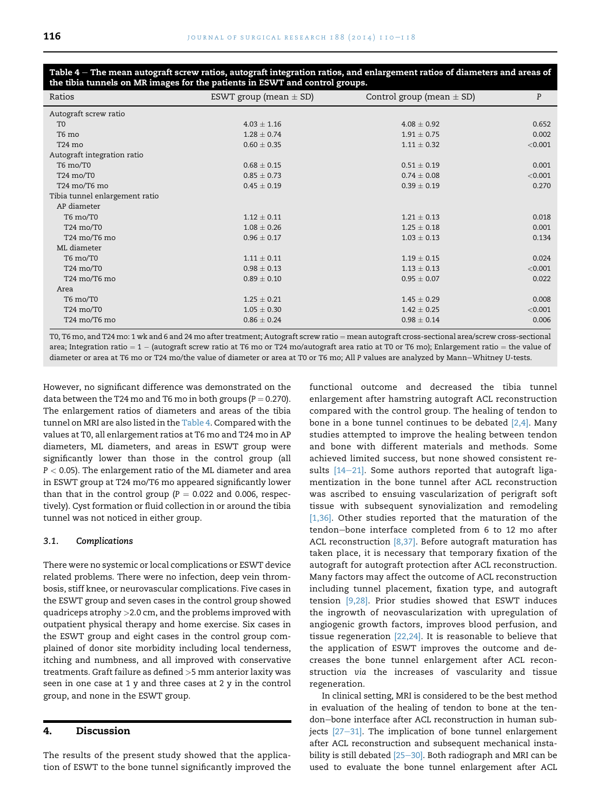| Ratios                         | ESWT group (mean $\pm$ SD) | Control group (mean $\pm$ SD) | P       |
|--------------------------------|----------------------------|-------------------------------|---------|
| Autograft screw ratio          |                            |                               |         |
| T <sub>0</sub>                 | $4.03 \pm 1.16$            | $4.08 \pm 0.92$               | 0.652   |
| T6 mo                          | $1.28 \pm 0.74$            | $1.91 \pm 0.75$               | 0.002   |
| T <sub>24</sub> mo             | $0.60 \pm 0.35$            | $1.11 \pm 0.32$               | < 0.001 |
| Autograft integration ratio    |                            |                               |         |
| T6 mo/T0                       | $0.68 \pm 0.15$            | $0.51 \pm 0.19$               | 0.001   |
| T24 mo/T0                      | $0.85 \pm 0.73$            | $0.74 \pm 0.08$               | < 0.001 |
| T24 mo/T6 mo                   | $0.45 \pm 0.19$            | $0.39 \pm 0.19$               | 0.270   |
| Tibia tunnel enlargement ratio |                            |                               |         |
| AP diameter                    |                            |                               |         |
| T6 mo/T0                       | $1.12 \pm 0.11$            | $1.21 \pm 0.13$               | 0.018   |
| T24 mo/T0                      | $1.08 \pm 0.26$            | $1.25 \pm 0.18$               | 0.001   |
| T24 mo/T6 mo                   | $0.96 \pm 0.17$            | $1.03 \pm 0.13$               | 0.134   |
| ML diameter                    |                            |                               |         |
| T6 mo/T0                       | $1.11 \pm 0.11$            | $1.19 \pm 0.15$               | 0.024   |
| T24 mo/T0                      | $0.98 \pm 0.13$            | $1.13 \pm 0.13$               | < 0.001 |
| T24 mo/T6 mo                   | $0.89 \pm 0.10$            | $0.95 \pm 0.07$               | 0.022   |
| Area                           |                            |                               |         |
| T6 mo/T0                       | $1.25 \pm 0.21$            | $1.45 + 0.29$                 | 0.008   |
| T24 mo/T0                      | $1.05 \pm 0.30$            | $1.42 \pm 0.25$               | < 0.001 |
| T24 mo/T6 mo                   | $0.86 \pm 0.24$            | $0.98 \pm 0.14$               | 0.006   |

<span id="page-6-0"></span>Table 4 – The mean autograft screw ratios, autograft integration ratios, and enlargement ratios of diameters and areas of the tibia tunnels on MR images for the patients in ESWT and control groups.

T0, T6 mo, and T24 mo: 1 wk and 6 and 24 mo after treatment; Autograft screw ratio = mean autograft cross-sectional area/screw cross-sectional area; Integration ratio =  $1 -$  (autograft screw ratio at T6 mo or T24 mo/autograft area ratio at T0 or T6 mo); Enlargement ratio = the value of diameter or area at T6 mo or T24 mo/the value of diameter or area at T0 or T6 mo; All P values are analyzed by Mann-Whitney U-tests.

However, no significant difference was demonstrated on the data between the T24 mo and T6 mo in both groups ( $P = 0.270$ ). The enlargement ratios of diameters and areas of the tibia tunnel on MRI are also listed in the Table 4. Compared with the values at T0, all enlargement ratios at T6 mo and T24 mo in AP diameters, ML diameters, and areas in ESWT group were significantly lower than those in the control group (all  $P < 0.05$ ). The enlargement ratio of the ML diameter and area in ESWT group at T24 mo/T6 mo appeared significantly lower than that in the control group ( $P = 0.022$  and 0.006, respectively). Cyst formation or fluid collection in or around the tibia tunnel was not noticed in either group.

#### 3.1. Complications

There were no systemic or local complications or ESWT device related problems. There were no infection, deep vein thrombosis, stiff knee, or neurovascular complications. Five cases in the ESWT group and seven cases in the control group showed quadriceps atrophy >2.0 cm, and the problems improved with outpatient physical therapy and home exercise. Six cases in the ESWT group and eight cases in the control group complained of donor site morbidity including local tenderness, itching and numbness, and all improved with conservative treatments. Graft failure as defined >5 mm anterior laxity was seen in one case at 1 y and three cases at 2 y in the control group, and none in the ESWT group.

# 4. Discussion

The results of the present study showed that the application of ESWT to the bone tunnel significantly improved the functional outcome and decreased the tibia tunnel enlargement after hamstring autograft ACL reconstruction compared with the control group. The healing of tendon to bone in a bone tunnel continues to be debated  $[2,4]$ . Many studies attempted to improve the healing between tendon and bone with different materials and methods. Some achieved limited success, but none showed consistent results  $[14-21]$  $[14-21]$ . Some authors reported that autograft ligamentization in the bone tunnel after ACL reconstruction was ascribed to ensuing vascularization of perigraft soft tissue with subsequent synovialization and remodeling [\[1,36\]](#page-7-0). Other studies reported that the maturation of the tendon-bone interface completed from 6 to 12 mo after ACL reconstruction  $[8,37]$ . Before autograft maturation has taken place, it is necessary that temporary fixation of the autograft for autograft protection after ACL reconstruction. Many factors may affect the outcome of ACL reconstruction including tunnel placement, fixation type, and autograft tension [\[9,28\]](#page-7-0). Prior studies showed that ESWT induces the ingrowth of neovascularization with upregulation of angiogenic growth factors, improves blood perfusion, and tissue regeneration [\[22,24\]](#page-8-0). It is reasonable to believe that the application of ESWT improves the outcome and decreases the bone tunnel enlargement after ACL reconstruction via the increases of vascularity and tissue regeneration.

In clinical setting, MRI is considered to be the best method in evaluation of the healing of tendon to bone at the tendon-bone interface after ACL reconstruction in human subjects  $[27-31]$  $[27-31]$ . The implication of bone tunnel enlargement after ACL reconstruction and subsequent mechanical instability is still debated  $[25-30]$  $[25-30]$  $[25-30]$ . Both radiograph and MRI can be used to evaluate the bone tunnel enlargement after ACL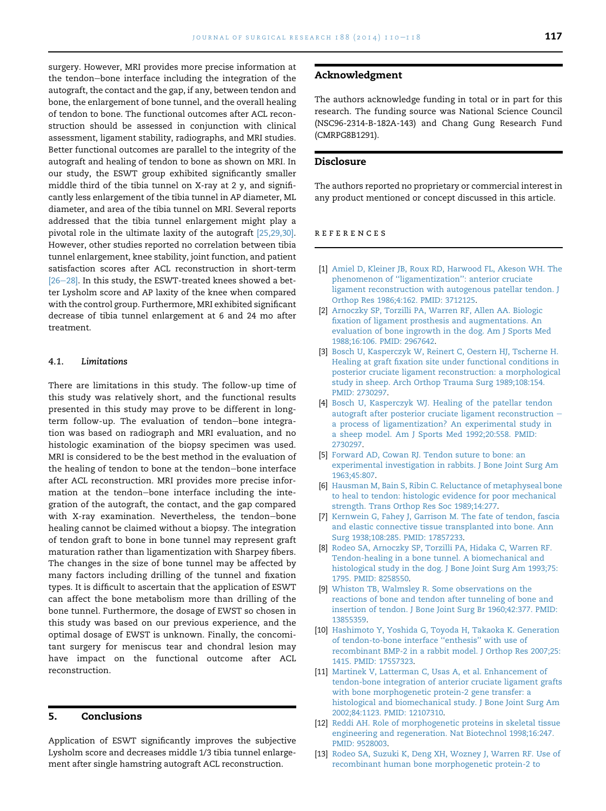<span id="page-7-0"></span>surgery. However, MRI provides more precise information at the tendon-bone interface including the integration of the autograft, the contact and the gap, if any, between tendon and bone, the enlargement of bone tunnel, and the overall healing of tendon to bone. The functional outcomes after ACL reconstruction should be assessed in conjunction with clinical assessment, ligament stability, radiographs, and MRI studies. Better functional outcomes are parallel to the integrity of the autograft and healing of tendon to bone as shown on MRI. In our study, the ESWT group exhibited significantly smaller middle third of the tibia tunnel on X-ray at 2 y, and significantly less enlargement of the tibia tunnel in AP diameter, ML diameter, and area of the tibia tunnel on MRI. Several reports addressed that the tibia tunnel enlargement might play a pivotal role in the ultimate laxity of the autograft [\[25,29,30\].](#page-8-0) However, other studies reported no correlation between tibia tunnel enlargement, knee stability, joint function, and patient satisfaction scores after ACL reconstruction in short-term  $[26-28]$  $[26-28]$  $[26-28]$ . In this study, the ESWT-treated knees showed a better Lysholm score and AP laxity of the knee when compared with the control group. Furthermore, MRI exhibited significant decrease of tibia tunnel enlargement at 6 and 24 mo after treatment.

#### 4.1. Limitations

There are limitations in this study. The follow-up time of this study was relatively short, and the functional results presented in this study may prove to be different in longterm follow-up. The evaluation of tendon-bone integration was based on radiograph and MRI evaluation, and no histologic examination of the biopsy specimen was used. MRI is considered to be the best method in the evaluation of the healing of tendon to bone at the tendon-bone interface after ACL reconstruction. MRI provides more precise information at the tendon-bone interface including the integration of the autograft, the contact, and the gap compared with X-ray examination. Nevertheless, the tendon-bone healing cannot be claimed without a biopsy. The integration of tendon graft to bone in bone tunnel may represent graft maturation rather than ligamentization with Sharpey fibers. The changes in the size of bone tunnel may be affected by many factors including drilling of the tunnel and fixation types. It is difficult to ascertain that the application of ESWT can affect the bone metabolism more than drilling of the bone tunnel. Furthermore, the dosage of EWST so chosen in this study was based on our previous experience, and the optimal dosage of EWST is unknown. Finally, the concomitant surgery for meniscus tear and chondral lesion may have impact on the functional outcome after ACL reconstruction.

# 5. Conclusions

Application of ESWT significantly improves the subjective Lysholm score and decreases middle 1/3 tibia tunnel enlargement after single hamstring autograft ACL reconstruction.

#### Acknowledgment

The authors acknowledge funding in total or in part for this research. The funding source was National Science Council (NSC96-2314-B-182A-143) and Chang Gung Research Fund (CMRPG8B1291).

# Disclosure

The authors reported no proprietary or commercial interest in any product mentioned or concept discussed in this article.

#### references

- [1] [Amiel D, Kleiner JB, Roux RD, Harwood FL, Akeson WH. The](http://refhub.elsevier.com/S0022-4804(14)00090-0/sref1) [phenomenon of ''ligamentization'': anterior cruciate](http://refhub.elsevier.com/S0022-4804(14)00090-0/sref1) [ligament reconstruction with autogenous patellar tendon. J](http://refhub.elsevier.com/S0022-4804(14)00090-0/sref1) [Orthop Res 1986;4:162. PMID: 3712125.](http://refhub.elsevier.com/S0022-4804(14)00090-0/sref1)
- [2] [Arnoczky SP, Torzilli PA, Warren RF, Allen AA. Biologic](http://refhub.elsevier.com/S0022-4804(14)00090-0/sref2) [fixation of ligament prosthesis and augmentations. An](http://refhub.elsevier.com/S0022-4804(14)00090-0/sref2) [evaluation of bone ingrowth in the dog. Am J Sports Med](http://refhub.elsevier.com/S0022-4804(14)00090-0/sref2) [1988;16:106. PMID: 2967642](http://refhub.elsevier.com/S0022-4804(14)00090-0/sref2).
- [3] [Bosch U, Kasperczyk W, Reinert C, Oestern HJ, Tscherne H.](http://refhub.elsevier.com/S0022-4804(14)00090-0/sref3) [Healing at graft fixation site under functional conditions in](http://refhub.elsevier.com/S0022-4804(14)00090-0/sref3) [posterior cruciate ligament reconstruction: a morphological](http://refhub.elsevier.com/S0022-4804(14)00090-0/sref3) [study in sheep. Arch Orthop Trauma Surg 1989;108:154.](http://refhub.elsevier.com/S0022-4804(14)00090-0/sref3) [PMID: 2730297](http://refhub.elsevier.com/S0022-4804(14)00090-0/sref3).
- [4] [Bosch U, Kasperczyk WJ. Healing of the patellar tendon](http://refhub.elsevier.com/S0022-4804(14)00090-0/sref4) [autograft after posterior cruciate ligament reconstruction](http://refhub.elsevier.com/S0022-4804(14)00090-0/sref4)  $$ [a process of ligamentization? An experimental study in](http://refhub.elsevier.com/S0022-4804(14)00090-0/sref4) [a sheep model. Am J Sports Med 1992;20:558. PMID:](http://refhub.elsevier.com/S0022-4804(14)00090-0/sref4) [2730297.](http://refhub.elsevier.com/S0022-4804(14)00090-0/sref4)
- [5] [Forward AD, Cowan RJ. Tendon suture to bone: an](http://refhub.elsevier.com/S0022-4804(14)00090-0/sref5) [experimental investigation in rabbits. J Bone Joint Surg Am](http://refhub.elsevier.com/S0022-4804(14)00090-0/sref5) [1963;45:807.](http://refhub.elsevier.com/S0022-4804(14)00090-0/sref5)
- [6] [Hausman M, Bain S, Ribin C. Reluctance of metaphyseal bone](http://refhub.elsevier.com/S0022-4804(14)00090-0/sref6) [to heal to tendon: histologic evidence for poor mechanical](http://refhub.elsevier.com/S0022-4804(14)00090-0/sref6) [strength. Trans Orthop Res Soc 1989;14:277.](http://refhub.elsevier.com/S0022-4804(14)00090-0/sref6)
- [7] [Kernwein G, Fahey J, Garrison M. The fate of tendon, fascia](http://refhub.elsevier.com/S0022-4804(14)00090-0/sref7) [and elastic connective tissue transplanted into bone. Ann](http://refhub.elsevier.com/S0022-4804(14)00090-0/sref7) [Surg 1938;108:285. PMID: 17857233.](http://refhub.elsevier.com/S0022-4804(14)00090-0/sref7)
- [8] [Rodeo SA, Arnoczky SP, Torzilli PA, Hidaka C, Warren RF.](http://refhub.elsevier.com/S0022-4804(14)00090-0/sref8) [Tendon-healing in a bone tunnel. A biomechanical and](http://refhub.elsevier.com/S0022-4804(14)00090-0/sref8) [histological study in the dog. J Bone Joint Surg Am 1993;75:](http://refhub.elsevier.com/S0022-4804(14)00090-0/sref8) [1795. PMID: 8258550.](http://refhub.elsevier.com/S0022-4804(14)00090-0/sref8)
- [9] [Whiston TB, Walmsley R. Some observations on the](http://refhub.elsevier.com/S0022-4804(14)00090-0/sref9) [reactions of bone and tendon after tunneling of bone and](http://refhub.elsevier.com/S0022-4804(14)00090-0/sref9) [insertion of tendon. J Bone Joint Surg Br 1960;42:377. PMID:](http://refhub.elsevier.com/S0022-4804(14)00090-0/sref9) [13855359.](http://refhub.elsevier.com/S0022-4804(14)00090-0/sref9)
- [10] [Hashimoto Y, Yoshida G, Toyoda H, Takaoka K. Generation](http://refhub.elsevier.com/S0022-4804(14)00090-0/sref10) [of tendon-to-bone interface ''enthesis'' with use of](http://refhub.elsevier.com/S0022-4804(14)00090-0/sref10) [recombinant BMP-2 in a rabbit model. J Orthop Res 2007;25:](http://refhub.elsevier.com/S0022-4804(14)00090-0/sref10) [1415. PMID: 17557323.](http://refhub.elsevier.com/S0022-4804(14)00090-0/sref10)
- [11] [Martinek V, Latterman C, Usas A, et al. Enhancement of](http://refhub.elsevier.com/S0022-4804(14)00090-0/sref11) [tendon-bone integration of anterior cruciate ligament grafts](http://refhub.elsevier.com/S0022-4804(14)00090-0/sref11) [with bone morphogenetic protein-2 gene transfer: a](http://refhub.elsevier.com/S0022-4804(14)00090-0/sref11) [histological and biomechanical study. J Bone Joint Surg Am](http://refhub.elsevier.com/S0022-4804(14)00090-0/sref11) [2002;84:1123. PMID: 12107310.](http://refhub.elsevier.com/S0022-4804(14)00090-0/sref11)
- [12] [Reddi AH. Role of morphogenetic proteins in skeletal tissue](http://refhub.elsevier.com/S0022-4804(14)00090-0/sref12) [engineering and regeneration. Nat Biotechnol 1998;16:247.](http://refhub.elsevier.com/S0022-4804(14)00090-0/sref12) [PMID: 9528003.](http://refhub.elsevier.com/S0022-4804(14)00090-0/sref12)
- [13] [Rodeo SA, Suzuki K, Deng XH, Wozney J, Warren RF. Use of](http://refhub.elsevier.com/S0022-4804(14)00090-0/sref13) [recombinant human bone morphogenetic protein-2 to](http://refhub.elsevier.com/S0022-4804(14)00090-0/sref13)